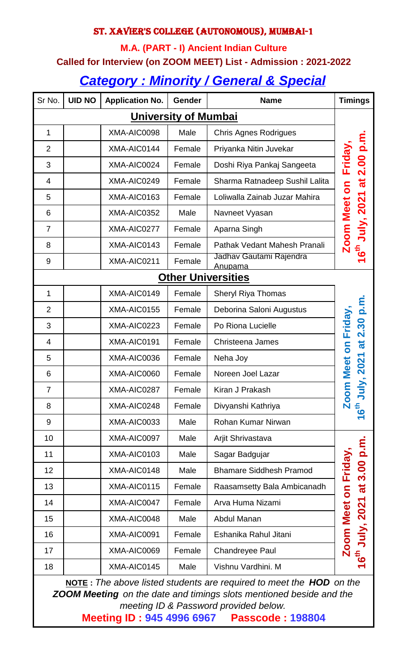### St. Xavier's College (Autonomous), Mumbai-1

#### **M.A. (PART - I) Ancient Indian Culture**

#### **Called for Interview (on ZOOM MEET) List - Admission : 2021-2022**

# *Category : Minority / General & Special*

| Sr No.                      | <b>UID NO</b> | <b>Application No.</b> | <b>Gender</b> | <b>Name</b>                        | <b>Timings</b>                                |  |  |
|-----------------------------|---------------|------------------------|---------------|------------------------------------|-----------------------------------------------|--|--|
| <b>University of Mumbai</b> |               |                        |               |                                    |                                               |  |  |
| 1                           |               | XMA-AIC0098            | Male          | <b>Chris Agnes Rodrigues</b>       |                                               |  |  |
| $\overline{2}$              |               | XMA-AIC0144            | Female        | Priyanka Nitin Juvekar             |                                               |  |  |
| 3                           |               | XMA-AIC0024            | Female        | Doshi Riya Pankaj Sangeeta         | Friday,                                       |  |  |
| 4                           |               | XMA-AIC0249            | Female        | Sharma Ratnadeep Sushil Lalita     |                                               |  |  |
| 5                           |               | XMA-AIC0163            | Female        | Loliwalla Zainab Juzar Mahira      |                                               |  |  |
| 6                           |               | XMA-AIC0352            | Male          | Navneet Vyasan                     | July, 2021 at 2.00 p.m                        |  |  |
| $\overline{7}$              |               | XMA-AIC0277            | Female        | Aparna Singh                       |                                               |  |  |
| 8                           |               | XMA-AIC0143            | Female        | Pathak Vedant Mahesh Pranali       | <b>Zoom Meet on</b><br>ته<br>6                |  |  |
| 9                           |               | XMA-AIC0211            | Female        | Jadhav Gautami Rajendra<br>Anupama |                                               |  |  |
| <b>Other Universities</b>   |               |                        |               |                                    |                                               |  |  |
| 1                           |               | XMA-AIC0149            | Female        | Sheryl Riya Thomas                 |                                               |  |  |
| $\overline{2}$              |               | XMA-AIC0155            | Female        | Deborina Saloni Augustus           |                                               |  |  |
| 3                           |               | XMA-AIC0223            | Female        | Po Riona Lucielle                  | Friday                                        |  |  |
| 4                           |               | XMA-AIC0191            | Female        | Christeena James                   | at 2.30 p.m<br>$\overline{\mathsf{S}}$        |  |  |
| 5                           |               | XMA-AIC0036            | Female        | Neha Joy                           | 1, 2021                                       |  |  |
| 6                           |               | XMA-AIC0060            | Female        | Noreen Joel Lazar                  | <b>Zoom Meet</b>                              |  |  |
| 7                           |               | XMA-AIC0287            | Female        | Kiran J Prakash                    | ミ                                             |  |  |
| 8                           |               | XMA-AIC0248            | Female        | Divyanshi Kathriya                 | 6 <sup>th</sup>                               |  |  |
| 9                           |               | XMA-AIC0033            | Male          | Rohan Kumar Nirwan                 |                                               |  |  |
| 10                          |               | XMA-AIC0097            | Male          | Arjit Shrivastava                  |                                               |  |  |
| 11                          |               | XMA-AIC0103            | Male          | Sagar Badgujar                     |                                               |  |  |
| 12                          |               | XMA-AIC0148            | Male          | <b>Bhamare Siddhesh Pramod</b>     | Friday                                        |  |  |
| 13                          |               | XMA-AIC0115            | Female        | Raasamsetty Bala Ambicanadh        |                                               |  |  |
| 14                          |               | XMA-AIC0047            | Female        | Arva Huma Nizami                   |                                               |  |  |
| 15                          |               | XMA-AIC0048            | Male          | Abdul Manan                        | July, 2021 at 3.00 p.m<br><b>Zoom Meet on</b> |  |  |
| 16                          |               | XMA-AIC0091            | Female        | Eshanika Rahul Jitani              |                                               |  |  |
| 17                          |               | XMA-AIC0069            | Female        | <b>Chandreyee Paul</b>             | ت<br>0                                        |  |  |
| 18                          |               | XMA-AIC0145            | Male          | Vishnu Vardhini. M                 |                                               |  |  |

 **NOTE :** *The above listed students are required to meet the HOD on the ZOOM Meeting on the date and timings slots mentioned beside and the meeting ID & Password provided below.*

**Meeting ID : 945 4996 6967 Passcode : 198804**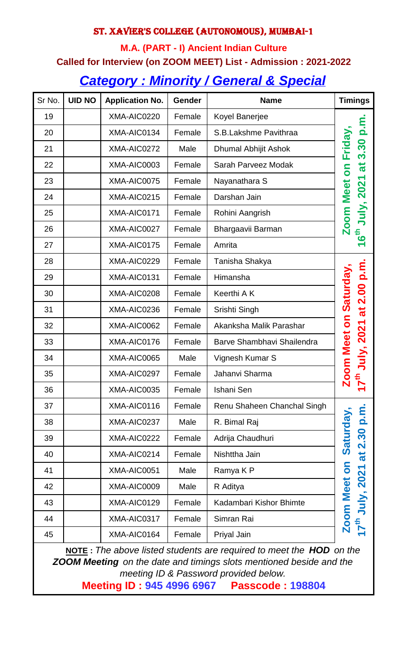### St. Xavier's College (Autonomous), Mumbai-1

# **M.A. (PART - I) Ancient Indian Culture Called for Interview (on ZOOM MEET) List - Admission : 2021-2022** *Category : Minority / General & Special*

| Sr No. | <b>UID NO</b> | <b>Application No.</b> | Gender | <b>Name</b>                 | <b>Timings</b>                        |
|--------|---------------|------------------------|--------|-----------------------------|---------------------------------------|
| 19     |               | XMA-AIC0220            | Female | Koyel Banerjee              |                                       |
| 20     |               | XMA-AIC0134            | Female | S.B.Lakshme Pavithraa       | m.q                                   |
| 21     |               | XMA-AIC0272            | Male   | Dhumal Abhijit Ashok        | Friday<br>3.30                        |
| 22     |               | XMA-AIC0003            | Female | Sarah Parveez Modak         | đ<br>5<br>0                           |
| 23     |               | XMA-AIC0075            | Female | Nayanathara S               |                                       |
| 24     |               | XMA-AIC0215            | Female | Darshan Jain                |                                       |
| 25     |               | XMA-AIC0171            | Female | Rohini Aangrish             | <b>July, 2021</b><br>oom Meet         |
| 26     |               | XMA-AIC0027            | Female | Bhargaavii Barman           | <mark>်</mark> း                      |
| 27     |               | XMA-AIC0175            | Female | Amrita                      |                                       |
| 28     |               | XMA-AIC0229            | Female | Tanisha Shakya              |                                       |
| 29     |               | XMA-AIC0131            | Female | Himansha                    |                                       |
| 30     |               | XMA-AIC0208            | Female | Keerthi A K                 | Saturday                              |
| 31     |               | XMA-AIC0236            | Female | Srishti Singh               |                                       |
| 32     |               | XMA-AIC0062            | Female | Akanksha Malik Parashar     |                                       |
| 33     |               | XMA-AIC0176            | Female | Barve Shambhavi Shailendra  | July, 2021 at 2.00 p.m<br>oom Meet on |
| 34     |               | XMA-AIC0065            | Male   | Vignesh Kumar S             |                                       |
| 35     |               | XMA-AIC0297            | Female | Jahanvi Sharma              |                                       |
| 36     |               | XMA-AIC0035            | Female | Ishani Sen                  | ↽                                     |
| 37     |               | XMA-AIC0116            | Female | Renu Shaheen Chanchal Singh |                                       |
| 38     |               | XMA-AIC0237            | Male   | R. Bimal Raj                | Saturday                              |
| 39     |               | XMA-AIC0222            | Female | Adrija Chaudhuri            |                                       |
| 40     |               | XMA-AIC0214            | Female | Nishttha Jain               | at 2.30 p.m                           |
| 41     |               | XMA-AIC0051            | Male   | Ramya K P                   | S                                     |
| 42     |               | XMA-AIC0009            | Male   | R Aditya                    |                                       |
| 43     |               | XMA-AIC0129            | Female | Kadambari Kishor Bhimte     | <b>July, 2021</b>                     |
| 44     |               | XMA-AIC0317            | Female | Simran Rai                  | <b>Zoom Meet</b><br>17 <sup>th</sup>  |
| 45     |               | XMA-AIC0164            | Female | Priyal Jain                 |                                       |

 **NOTE :** *The above listed students are required to meet the HOD on the ZOOM Meeting on the date and timings slots mentioned beside and the meeting ID & Password provided below.*

**Meeting ID : 945 4996 6967 Passcode : 198804**